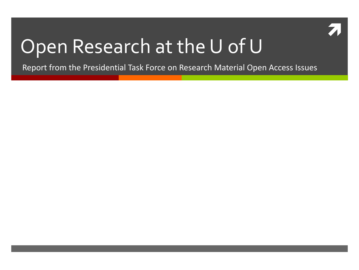

## Open Research at the U of U

Report from the Presidential Task Force on Research Material Open Access Issues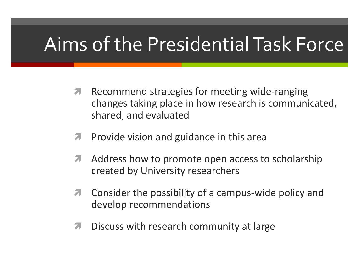## Aims of the Presidential Task Force

- **A** Recommend strategies for meeting wide-ranging changes taking place in how research is communicated, shared, and evaluated
- $\blacktriangleright$  Provide vision and guidance in this area
- **A** Address how to promote open access to scholarship created by University researchers
- **T** Consider the possibility of a campus-wide policy and develop recommendations
- **7** Discuss with research community at large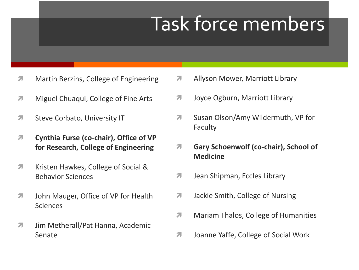## Task force members

- **Martin Berzins, College of Engineering**
- **Miguel Chuaqui, College of Fine Arts**
- **7** Steve Corbato, University IT
- **Cynthia Furse (co-chair), Office of VP for Research, College of Engineering**
- **7** Kristen Hawkes, College of Social & Behavior Sciences
- **7** John Mauger, Office of VP for Health **Sciences**
- **7** Jim Metherall/Pat Hanna, Academic Senate
- **A** Allyson Mower, Marriott Library
- **7** Joyce Ogburn, Marriott Library
- **T** Susan Olson/Amy Wildermuth, VP for Faculty
- **Gary Schoenwolf (co-chair), School of Medicine**
- **7** Jean Shipman, Eccles Library
- **7** Jackie Smith, College of Nursing
- **Mariam Thalos, College of Humanities**
- **7** Joanne Yaffe, College of Social Work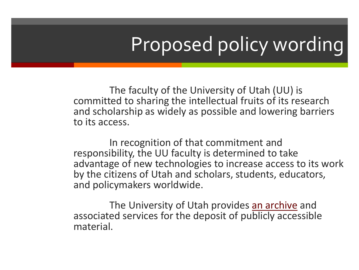# Proposed policy wording

The faculty of the University of Utah (UU) is committed to sharing the intellectual fruits of its research and scholarship as widely as possible and lowering barriers to its access.

In recognition of that commitment and responsibility, the UU faculty is determined to take advantage of new technologies to increase access to its work by the citizens of Utah and scholars, students, educators, and policymakers worldwide.

The University of Utah provides [an archive](http://uspace.utah.edu/) and associated services for the deposit of publicly accessible material.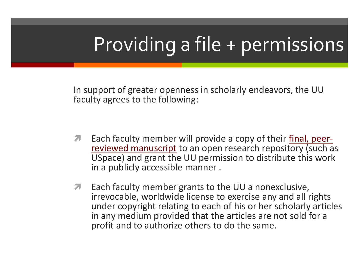# Providing a file + permissions

In support of greater openness in scholarly endeavors, the UU faculty agrees to the following:

- **Each faculty member will provide a copy of their [final, peer](http://campusguides.lib.utah.edu/content.php?pid=155159&sid=1315095)**[reviewed manuscript](http://campusguides.lib.utah.edu/content.php?pid=155159&sid=1315095) to an open research repository (such as USpace) and grant the UU permission to distribute this work in a publicly accessible manner .
- **T** Each faculty member grants to the UU a nonexclusive, irrevocable, worldwide license to exercise any and all rights under copyright relating to each of his or her scholarly articles in any medium provided that the articles are not sold for a profit and to authorize others to do the same.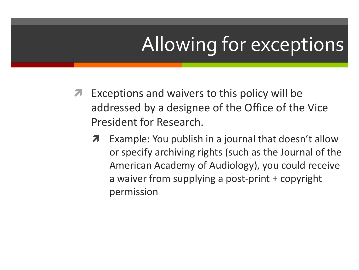# Allowing for exceptions

- **Exceptions and waivers to this policy will be** addressed by a designee of the Office of the Vice President for Research.
	- **7** Example: You publish in a journal that doesn't allow or specify archiving rights (such as the Journal of the American Academy of Audiology), you could receive a waiver from supplying a post-print + copyright permission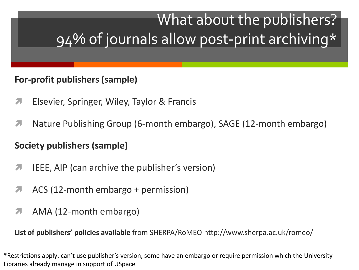### What about the publishers? 94% of journals allow post-print archiving\*

### **For-profit publishers (sample)**

- **Elsevier, Springer, Wiley, Taylor & Francis**
- Nature Publishing Group (6-month embargo), SAGE (12-month embargo)

### **Society publishers (sample)**

- **T** IEEE, AIP (can archive the publisher's version)
- ACS (12-month embargo + permission)
- AMA (12-month embargo)

**List of publishers' policies available** from SHERPA/RoMEO http://www.sherpa.ac.uk/romeo/

\*Restrictions apply: can't use publisher's version, some have an embargo or require permission which the University Libraries already manage in support of USpace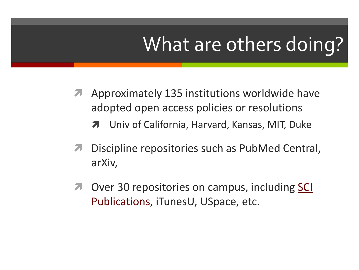## What are others doing?

- **A** Approximately 135 institutions worldwide have adopted open access policies or resolutions
	- Univ of California, Harvard, Kansas, MIT, Duke
- Discipline repositories such as PubMed Central, arXiv,
- **7** Over 30 repositories on campus, including SCI [Publications](http://www.sci.utah.edu/scipubs.html), iTunesU, USpace, etc.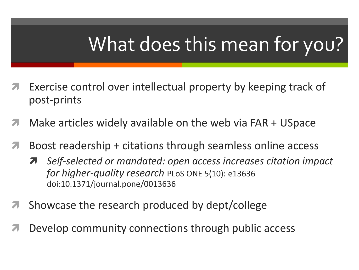# What does this mean for you?

- Exercise control over intellectual property by keeping track of post-prints
- Make articles widely available on the web via FAR + USpace
- Boost readership + citations through seamless online access
	- *Self-selected or mandated: open access increases citation impact for higher-quality research* PLoS ONE 5(10): e13636 doi:10.1371/journal.pone/0013636
- Showcase the research produced by dept/college
- Develop community connections through public access